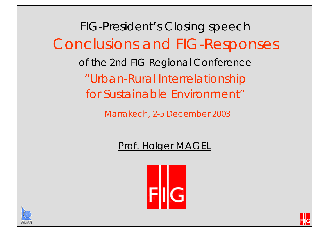FIG-President's Closing speech Conclusions and FIG-Responses of the 2nd FIG Regional Conference "Urban-Rural Interrelationship for Sustainable Environment"

*Marrakech, 2-5 December 2003*

### Prof. Holger MAGEL





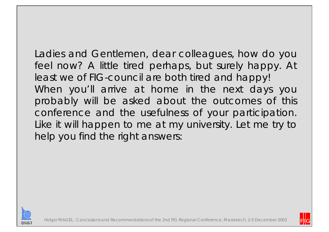Ladies and Gentlemen, dear colleagues, how do you feel now? A little tired perhaps, but surely happy. At least we of FIG-council are both tired and happy! When you'll arrive at home in the next days you probably will be asked about the outcomes of this conference and the usefulness of your participation. Like it will happen to me at my university. Let me try to help you find the right answers:



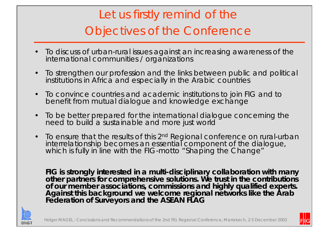# Let us firstly remind of the Objectives of the Conference

- •To discuss of urban-rural issues against an increasing awareness of the international communities / organizations
- • To strengthen our profession and the links between public and political institutions in Africa and especially in the Arabic countries
- $\bullet$ To convince countries and academic institutions to join FIG and to benefit from mutual dialogue and knowledge exchange
- • To be better prepared for the international dialogue concerning the need to build a sustainable and more just world
- To ensure that the results of this 2<sup>nd</sup> Regional conference on rural-urban Interrelationship becomes an essential component of the dialogue, which is fully in line with the FIG-motto "Shaping the Change"

**FIG is strongly interested in a multi-disciplinary collaboration with many other partners for comprehensive solutions. We trust in the contributions of our member associations, commissions and highly qualified experts. Against this background we welcome regional networks like the Arab Federation of Surveyors and the ASEAN FLAG**



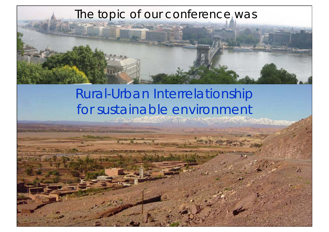## The topic of our conference was



# Rural-Urban Interrelationship for sustainable environment

Holger MAGEL : Conclusions and Recommendations of the 2nd FIG Regional Conference, Marrakech, 2-5 December 2003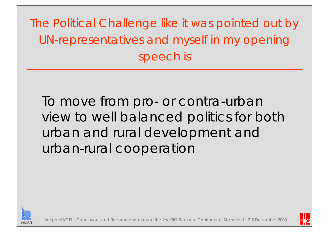The Political Challenge like it was pointed out by UN-representatives and myself in my opening speech is

To move from pro- or contra-urban view to well balanced politics for both urban and rural development and urban-rural cooperation



Holger MAGEL : Conclusions and Recommendations of the 2nd FIG Regional Conference, Marrakech, 2-5 December 2003

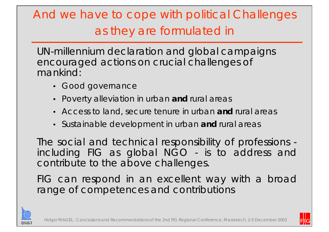# And we have to cope with political Challenges as they are formulated in

UN-millennium declaration and global campaigns encouraged actions on crucial challenges of mankind:

- Good governance
- Poverty alleviation in urban **and** rural areas
- Access to land, secure tenure in urban **and** rural areas
- Sustainable development in urban **and** rural areas

The social and technical responsibility of professions including FIG as global NGO - is to address and contribute to the above challenges.

FIG can respond in an excellent way with a broad range of competences and contributions



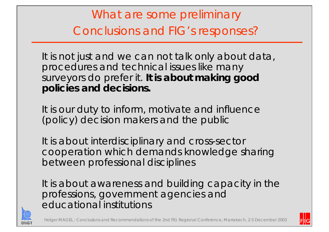What are some preliminary Conclusions and FIG's responses?

It is not just and we can not talk only about data, procedures and technical issues like many surveyors do prefer it. **It is about making good policies and decisions.** 

It is our duty to inform, motivate and influence (policy) decision makers and the public

It is about interdisciplinary and cross-sector cooperation which demands knowledge sharing between professional disciplines

It is about awareness and building capacity in the professions, government agencies and educational institutions



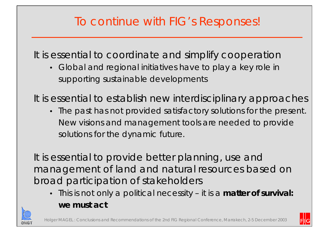## To continue with FIG's Responses!

It is essential to coordinate and simplify cooperation

• Global and regional initiatives have to play a key role in supporting sustainable developments

It is essential to establish new interdisciplinary approaches

• The past has not provided satisfactory solutions for the present. New visions and management tools are needed to provide solutions for the dynamic future.

It is essential to provide better planning, use and management of land and natural resources based on broad participation of stakeholders

• This is not only a political necessity – it is a **matter of survival: we must act**



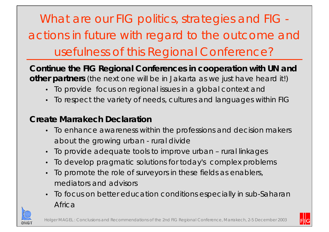What are our FIG politics, strategies and FIG actions in future with regard to the outcome and usefulness of this Regional Conference?

**Continue the FIG Regional Conferences in cooperation with UN and other partners** (the next one will be in Jakarta as we just have heard it!)

- •To provide focus on regional issues in a global context and
- •To respect the variety of needs, cultures and languages within FIG

#### **Create Marrakech Declaration**

- To enhance awareness within the professions and decision makers about the growing urban - rural divide
- •To provide adequate tools to improve urban – rural linkages
- •To develop pragmatic solutions for today's complex problems
- • To promote the role of surveyors in these fields as enablers, mediators and advisors
- $\bullet$  To focus on better education conditions especially in sub-Saharan Africa



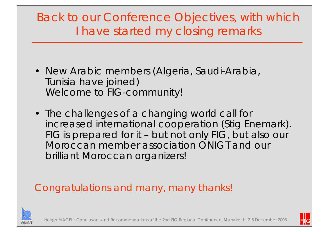## Back to our Conference Objectives, with which I have started my closing remarks

- New Arabic members (Algeria, Saudi-Arabia, Tunisia have joined) Welcome to FIG-community!
- The challenges of a changing world call for increased international cooperation (Stig Enemark). FIG is prepared for it – but not only FIG, but also our Moroccan member association ONIGT and our brilliant Moroccan organizers!

## Congratulations and many, many thanks!



: Conclusions and Recommendations of the 2nd FIG Regional Conference, Marrakech, 2-5 December 2003

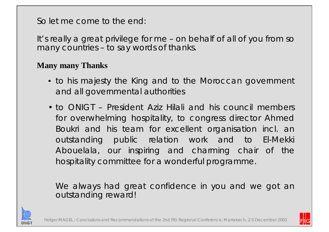So let me come to the end:

It's really a great privilege for me – on behalf of all of you from so many countries – to say words of thanks.

#### **Many many Thanks**

- to his majesty the King and to the Moroccan government and all governmental authorities
- to ONIGT President Aziz Hilali and his council members for overwhelming hospitality, to congress director Ahmed Boukri and his team for excellent organisation incl. an outstanding public relation work and to El-Mekki Abouelala, our inspiring and charming chair of the hospitality committee for a wonderful programme.

We always had great confidence in you and we got an outstanding reward!